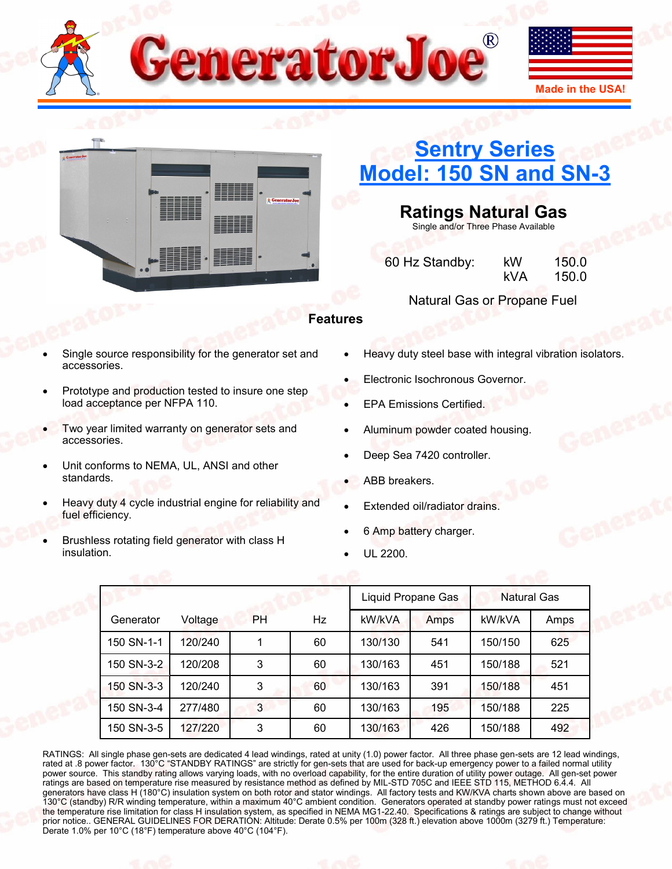



# **[Sentry Series](http://www.generatorjoe.net/product.asp?0=205&1=565&3=4369) [Model: 150 SN and SN](http://www.generatorjoe.net/product.asp?0=205&1=565&3=4369)-3**

**Ratings Natural Gas**

Single and/or Three Phase Available

60 Hz Standby: kW 150.0 kVA 150.0

### Natural Gas or Propane Fuel

## **Features**

- Single source responsibility for the generator set and accessories.
- Prototype and production tested to insure one step load acceptance per NFPA 110.
- Two year limited warranty on generator sets and accessories.
- Unit conforms to NEMA, UL, ANSI and other standards.
- Heavy duty 4 cycle industrial engine for reliability and fuel efficiency.
- Brushless rotating field generator with class H insulation.
- Heavy duty steel base with integral vibration isolators.
- Electronic Isochronous Governor.
- EPA Emissions Certified.
- Aluminum powder coated housing.
- Deep Sea 7420 controller.
- ABB breakers.
- Extended oil/radiator drains.
- 6 Amp battery charger.
- UL 2200.

|            |         |           | Liquid Propane Gas |         | Natural Gas |         |      |
|------------|---------|-----------|--------------------|---------|-------------|---------|------|
| Generator  | Voltage | <b>PH</b> | Hz                 | kW/kVA  | Amps        | kW/kVA  | Amps |
| 150 SN-1-1 | 120/240 |           | 60                 | 130/130 | 541         | 150/150 | 625  |
| 150 SN-3-2 | 120/208 | 3         | 60                 | 130/163 | 451         | 150/188 | 521  |
| 150 SN-3-3 | 120/240 | 3         | 60                 | 130/163 | 391         | 150/188 | 451  |
| 150 SN-3-4 | 277/480 | 3         | 60                 | 130/163 | 195         | 150/188 | 225  |
| 150 SN-3-5 | 127/220 | 3         | 60                 | 130/163 | 426         | 150/188 | 492  |

RATINGS: All single phase gen-sets are dedicated 4 lead windings, rated at unity (1.0) power factor. All three phase gen-sets are 12 lead windings, rated at .8 power factor. 130°C "STANDBY RATINGS" are strictly for gen-sets that are used for back-up emergency power to a failed normal utility power source. This standby rating allows varying loads, with no overload capability, for the entire duration of utility power outage. All gen-set power ratings are based on temperature rise measured by resistance method as defined by MIL-STD 705C and IEEE STD 115, METHOD 6.4.4. All generators have class H (180°C) insulation system on both rotor and stator windings. All factory tests and KW/KVA charts shown above are based on 130°C (standby) R/R winding temperature, within a maximum 40°C ambient condition. Generators operated at standby power ratings must not exceed the temperature rise limitation for class H insulation system, as specified in NEMA MG1-22.40. Specifications & ratings are subject to change without prior notice.. GENERAL GUIDELINES FOR DERATION: Altitude: Derate 0.5% per 100m (328 ft.) elevation above 1000m (3279 ft.) Temperature: Derate 1.0% per 10°C (18°F) temperature above 40°C (104°F).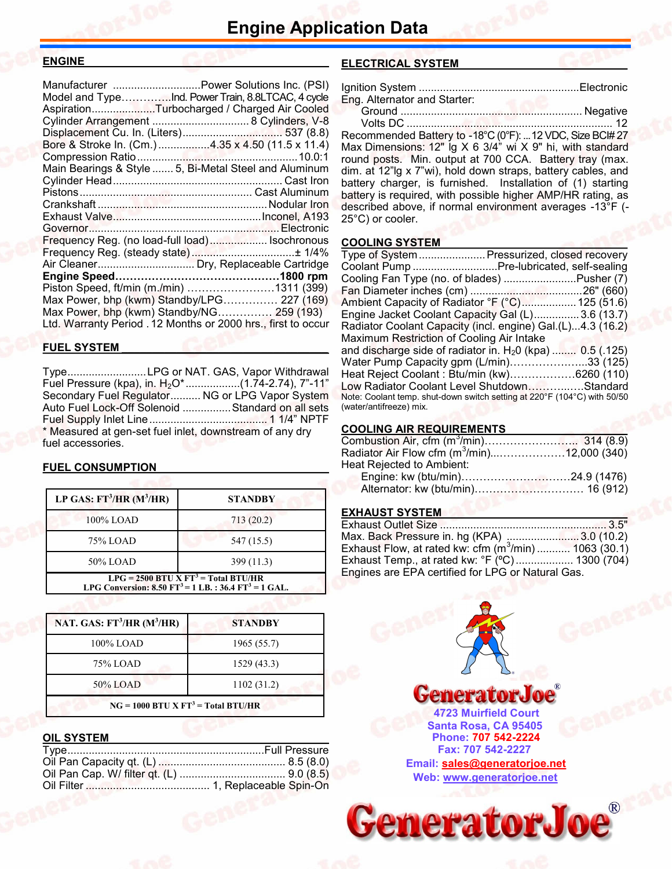#### **ENGINE\_\_\_\_\_\_\_\_\_\_\_\_\_\_\_\_\_\_\_\_\_\_\_\_\_\_\_\_\_\_\_\_\_\_\_\_\_\_\_\_**

|                                                       | Manufacturer Power Solutions Inc. (PSI)                       |
|-------------------------------------------------------|---------------------------------------------------------------|
| Model and TypeInd. Power Train, 8.8LTCAC, 4 cycle     |                                                               |
| AspirationTurbocharged / Charged Air Cooled           |                                                               |
|                                                       |                                                               |
| Displacement Cu. In. (Liters) 537 (8.8)               |                                                               |
| Bore & Stroke In. (Cm.) 4.35 x 4.50 (11.5 x 11.4)     |                                                               |
|                                                       |                                                               |
| Main Bearings & Style  5, Bi-Metal Steel and Aluminum |                                                               |
|                                                       |                                                               |
|                                                       |                                                               |
|                                                       |                                                               |
|                                                       |                                                               |
|                                                       |                                                               |
| Frequency Reg. (no load-full load) Isochronous        |                                                               |
|                                                       |                                                               |
|                                                       |                                                               |
|                                                       |                                                               |
| Piston Speed, ft/min (m./min) 1311 (399)              |                                                               |
| Max Power, bhp (kwm) Standby/LPG 227 (169)            |                                                               |
| Max Power, bhp (kwm) Standby/NG 259 (193)             |                                                               |
|                                                       | Ltd. Warranty Period . 12 Months or 2000 hrs., first to occur |
|                                                       |                                                               |

#### **FUEL SYSTEM \_\_\_\_\_\_\_\_\_\_\_\_\_\_\_\_\_\_\_\_\_\_\_\_\_\_\_\_\_\_\_\_\_\_**

Type..........................LPG or NAT. GAS, Vapor Withdrawal Fuel Pressure (kpa), in. H<sub>2</sub>O<sup>\*</sup>..................(1.74-2.74), 7"-11" Secondary Fuel Regulator.......... NG or LPG Vapor System Auto Fuel Lock-Off Solenoid ................Standard on all sets Fuel Supply Inlet Line....................................... 1 1/4" NPTF \* Measured at gen-set fuel inlet, downstream of any dry fuel accessories.

#### **FUEL CONSUMPTION**

| LP GAS: $FT^3/HR$ (M <sup>3</sup> /HR)                                                                                         | <b>STANDBY</b> |  |  |
|--------------------------------------------------------------------------------------------------------------------------------|----------------|--|--|
| 100% LOAD                                                                                                                      | 713(20.2)      |  |  |
| 75% LOAD                                                                                                                       | 547 (15.5)     |  |  |
| 50% LOAD                                                                                                                       | 399(11.3)      |  |  |
| LPG = 2500 BTU X FT <sup>3</sup> = Total BTU/HR<br>LPG Conversion: 8.50 FT <sup>3</sup> = 1 LB.: 36.4 FT <sup>3</sup> = 1 GAL. |                |  |  |

| NAT. GAS: $FT^3/HR$ (M <sup>3</sup> /HR) | <b>STANDBY</b> |  |  |
|------------------------------------------|----------------|--|--|
| 100% LOAD                                | 1965 (55.7)    |  |  |
| 75% LOAD                                 | 1529(43.3)     |  |  |
| 50% LOAD                                 | 1102 (31.2)    |  |  |
| $NG = 1000$ BTU X $FT3 = Total BTU/HR$   |                |  |  |

#### **OIL SYSTEM**

#### **ELECTRICAL SYSTEM \_\_\_\_\_\_\_\_\_\_\_\_\_\_\_\_\_\_\_\_\_\_\_\_\_\_\_**

| Eng. Alternator and Starter: |  |
|------------------------------|--|
|                              |  |

Volts DC .................................................................... 12

Recommended Battery to -18°C (0°F): ...12 VDC, Size BCI# 27 Max Dimensions: 12" lg X 6 3/4" wi X 9" hi, with standard round posts. Min. output at 700 CCA. Battery tray (max. dim. at 12"lg x 7"wi), hold down straps, battery cables, and battery charger, is furnished. Installation of (1) starting battery is required, with possible higher AMP/HR rating, as described above, if normal environment averages -13°F (- 25°C) or cooler.

#### **COOLING SYSTEM**

| Type of System  Pressurized, closed recovery                                                        |  |
|-----------------------------------------------------------------------------------------------------|--|
| Coolant Pump Pre-lubricated, self-sealing                                                           |  |
| Cooling Fan Type (no. of blades) Pusher (7)                                                         |  |
|                                                                                                     |  |
| Ambient Capacity of Radiator °F (°C) 125 (51.6)                                                     |  |
| Engine Jacket Coolant Capacity Gal (L)3.6 (13.7)                                                    |  |
| Radiator Coolant Capacity (incl. engine) Gal.(L)4.3 (16.2)                                          |  |
| Maximum Restriction of Cooling Air Intake                                                           |  |
| and discharge side of radiator in. $H20$ (kpa)  0.5 (.125)                                          |  |
| Water Pump Capacity gpm (L/min)33 (125)                                                             |  |
| Heat Reject Coolant: Btu/min (kw)6260 (110)                                                         |  |
| Low Radiator Coolant Level ShutdownStandard                                                         |  |
| Note: Coolant temp. shut-down switch setting at 220°F (104°C) with 50/50<br>(water/antifreeze) mix. |  |

#### **COOLING AIR REQUIREMENTS**

| Radiator Air Flow cfm (m <sup>3</sup> /min)12,000 (340) |  |
|---------------------------------------------------------|--|
| Heat Rejected to Ambient:                               |  |
|                                                         |  |
|                                                         |  |

#### **EXHAUST SYSTEM**

| Max. Back Pressure in. hg (KPA) 3.0 (10.2)              |  |
|---------------------------------------------------------|--|
| Exhaust Flow, at rated kw: cfm $(m^3/m$ in) 1063 (30.1) |  |
| Exhaust Temp., at rated kw: °F (°C) 1300 (704)          |  |
| Engines are EPA certified for LPG or Natural Gas.       |  |



**GeneratorJoe®**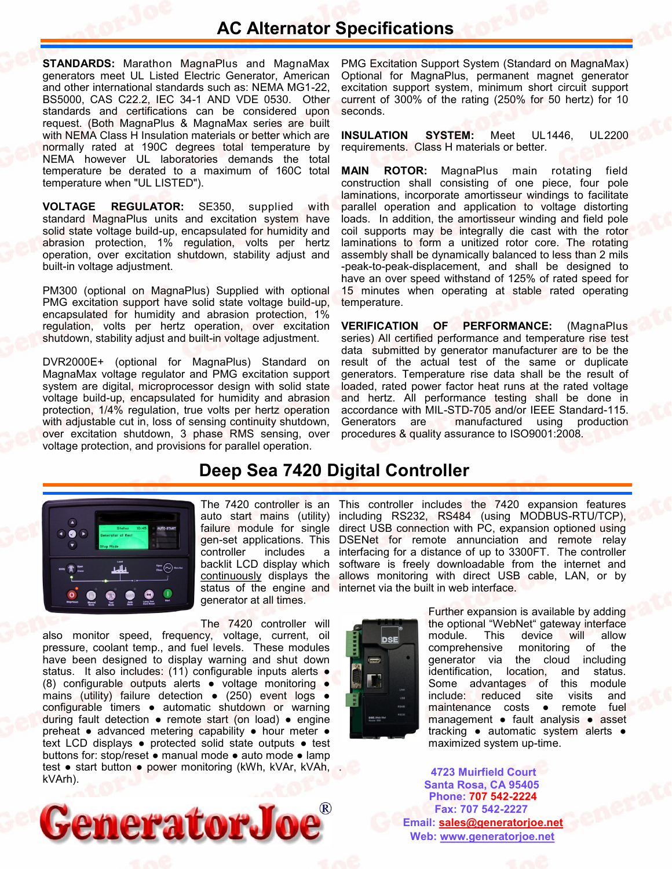# **AC Alternator Specifications**

**STANDARDS:** Marathon MagnaPlus and MagnaMax generators meet UL Listed Electric Generator, American and other international standards such as: NEMA MG1-22, BS5000, CAS C22.2, IEC 34-1 AND VDE 0530. Other standards and certifications can be considered upon request. (Both MagnaPlus & MagnaMax series are built with NEMA Class H Insulation materials or better which are normally rated at 190C degrees total temperature by NEMA however UL laboratories demands the total temperature be derated to a maximum of 160C total temperature when "UL LISTED").

**VOLTAGE REGULATOR:** SE350, supplied with standard MagnaPlus units and excitation system have solid state voltage build-up, encapsulated for humidity and abrasion protection, 1% regulation, volts per hertz operation, over excitation shutdown, stability adjust and built-in voltage adjustment.

PM300 (optional on MagnaPlus) Supplied with optional PMG excitation support have solid state voltage build-up, encapsulated for humidity and abrasion protection, 1% regulation, volts per hertz operation, over excitation shutdown, stability adjust and built-in voltage adjustment.

DVR2000E+ (optional for MagnaPlus) Standard on MagnaMax voltage regulator and PMG excitation support system are digital, microprocessor design with solid state voltage build-up, encapsulated for humidity and abrasion protection, 1/4% regulation, true volts per hertz operation with adjustable cut in, loss of sensing continuity shutdown, over excitation shutdown, 3 phase RMS sensing, over voltage protection, and provisions for parallel operation.

PMG Excitation Support System (Standard on MagnaMax) Optional for MagnaPlus, permanent magnet generator excitation support system, minimum short circuit support current of 300% of the rating (250% for 50 hertz) for 10 seconds.

**INSULATION SYSTEM:** Meet UL1446, UL2200 requirements. Class H materials or better.

**MAIN ROTOR:** MagnaPlus main rotating field construction shall consisting of one piece, four pole laminations, incorporate amortisseur windings to facilitate parallel operation and application to voltage distorting loads. In addition, the amortisseur winding and field pole coil supports may be integrally die cast with the rotor laminations to form a unitized rotor core. The rotating assembly shall be dynamically balanced to less than 2 mils -peak-to-peak-displacement, and shall be designed to have an over speed withstand of 125% of rated speed for 15 minutes when operating at stable rated operating temperature.

**VERIFICATION OF PERFORMANCE:** (MagnaPlus series) All certified performance and temperature rise test data submitted by generator manufacturer are to be the result of the actual test of the same or duplicate generators. Temperature rise data shall be the result of loaded, rated power factor heat runs at the rated voltage and hertz. All performance testing shall be done in accordance with MIL-STD-705 and/or IEEE Standard-115. Generators are manufactured using production procedures & quality assurance to ISO9001:2008.

# **Deep Sea 7420 Digital Controller**



auto start mains (utility) failure module for single controller includes a backlit LCD display which continuously displays the status of the engine and generator at all times.

The 7420 controller will

also monitor speed, frequency, voltage, current, oil pressure, coolant temp., and fuel levels. These modules have been designed to display warning and shut down status. It also includes: (11) configurable inputs alerts • (8) configurable outputs alerts ● voltage monitoring ● mains (utility) failure detection • (250) event logs • configurable timers ● automatic shutdown or warning during fault detection ● remote start (on load) ● engine preheat ● advanced metering capability ● hour meter ● text LCD displays ● protected solid state outputs ● test buttons for: stop/reset ● manual mode ● auto mode ● lamp test • start button • power monitoring (kWh, kVAr, kVAh, kVArh).



The 7420 controller is an This controller includes the 7420 expansion features including RS232, RS484 (using MODBUS-RTU/TCP), direct USB connection with PC, expansion optioned using gen-set applications. This DSENet for remote annunciation and remote relay interfacing for a distance of up to 3300FT. The controller software is freely downloadable from the internet and allows monitoring with direct USB cable, LAN, or by internet via the built in web interface.



.

Further expansion is available by adding the optional "WebNet" gateway interface module. This device will allow comprehensive monitoring of the generator via the cloud including identification, location, and status. Some advantages of this module include: reduced site visits and maintenance costs ● remote fuel management ● fault analysis ● asset tracking ● automatic system alerts ● maximized system up-time.

**Santa Rosa, CA 95405 4723 Muirfield Court Fax: 707 542-2227 Phone: 707 542-2224 Web: [www.generatorjoe.net](http://www.generatorjoe.net) Email: [sales@generatorjoe.net](mailto:sales@generatorjoe.net?subject=Your%20products)**